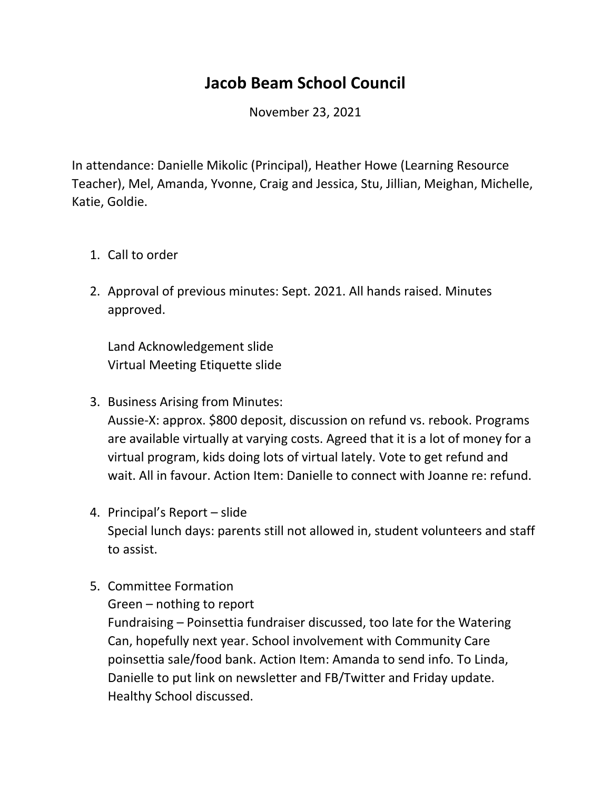## **Jacob Beam School Council**

November 23, 2021

In attendance: Danielle Mikolic (Principal), Heather Howe (Learning Resource Teacher), Mel, Amanda, Yvonne, Craig and Jessica, Stu, Jillian, Meighan, Michelle, Katie, Goldie.

- 1. Call to order
- 2. Approval of previous minutes: Sept. 2021. All hands raised. Minutes approved.

Land Acknowledgement slide Virtual Meeting Etiquette slide

- 3. Business Arising from Minutes: Aussie-X: approx. \$800 deposit, discussion on refund vs. rebook. Programs are available virtually at varying costs. Agreed that it is a lot of money for a virtual program, kids doing lots of virtual lately. Vote to get refund and wait. All in favour. Action Item: Danielle to connect with Joanne re: refund.
- 4. Principal's Report slide Special lunch days: parents still not allowed in, student volunteers and staff to assist.
- 5. Committee Formation
	- Green nothing to report

Fundraising – Poinsettia fundraiser discussed, too late for the Watering Can, hopefully next year. School involvement with Community Care poinsettia sale/food bank. Action Item: Amanda to send info. To Linda, Danielle to put link on newsletter and FB/Twitter and Friday update. Healthy School discussed.